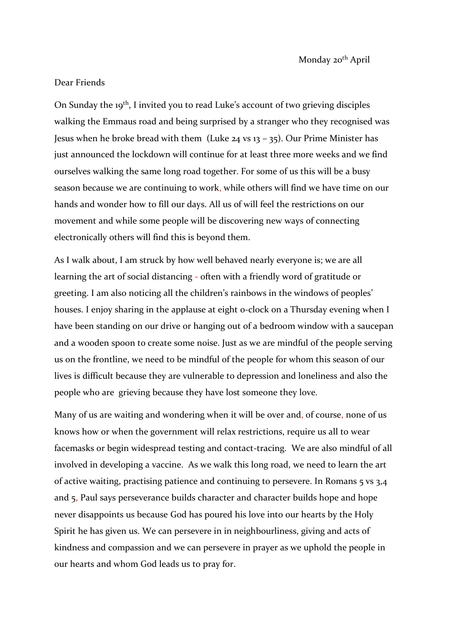## Dear Friends

On Sunday the 19<sup>th</sup>, I invited you to read Luke's account of two grieving disciples walking the Emmaus road and being surprised by a stranger who they recognised was Jesus when he broke bread with them (Luke 24 vs 13 – 35). Our Prime Minister has just announced the lockdown will continue for at least three more weeks and we find ourselves walking the same long road together. For some of us this will be a busy season because we are continuing to work, while others will find we have time on our hands and wonder how to fill our days. All us of will feel the restrictions on our movement and while some people will be discovering new ways of connecting electronically others will find this is beyond them.

As I walk about, I am struck by how well behaved nearly everyone is; we are all learning the art of social distancing - often with a friendly word of gratitude or greeting. I am also noticing all the children's rainbows in the windows of peoples' houses. I enjoy sharing in the applause at eight o-clock on a Thursday evening when I have been standing on our drive or hanging out of a bedroom window with a saucepan and a wooden spoon to create some noise. Just as we are mindful of the people serving us on the frontline, we need to be mindful of the people for whom this season of our lives is difficult because they are vulnerable to depression and loneliness and also the people who are grieving because they have lost someone they love.

Many of us are waiting and wondering when it will be over and, of course, none of us knows how or when the government will relax restrictions, require us all to wear facemasks or begin widespread testing and contact-tracing. We are also mindful of all involved in developing a vaccine. As we walk this long road, we need to learn the art of active waiting, practising patience and continuing to persevere. In Romans 5 vs 3,4 and 5, Paul says perseverance builds character and character builds hope and hope never disappoints us because God has poured his love into our hearts by the Holy Spirit he has given us. We can persevere in in neighbourliness, giving and acts of kindness and compassion and we can persevere in prayer as we uphold the people in our hearts and whom God leads us to pray for.